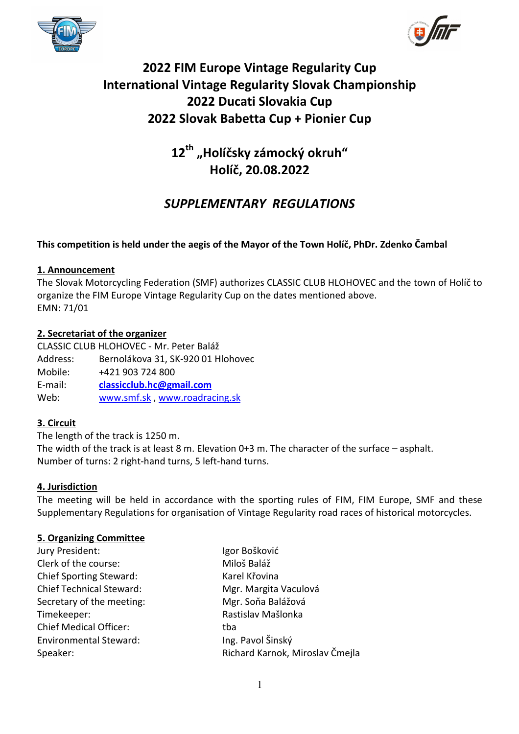



# **2022 FIM Europe Vintage Regularity Cup International Vintage Regularity Slovak Championship 2022 Ducati Slovakia Cup 2022 Slovak Babetta Cup + Pionier Cup**

**12th "Holíčsky zámocký okruh" Holíč, 20.08.2022** 

## *SUPPLEMENTARY REGULATIONS*

## **This competition is held under the aegis of the Mayor of the Town Holíč, PhDr. Zdenko Čambal**

## **1. Announcement**

The Slovak Motorcycling Federation (SMF) authorizes CLASSIC CLUB HLOHOVEC and the town of Holíč to organize the FIM Europe Vintage Regularity Cup on the dates mentioned above. EMN: 71/01

## **2. Secretariat of the organizer**

CLASSIC CLUB HLOHOVEC - Mr. Peter Baláž Address: Bernolákova 31, SK-920 01 Hlohovec Mobile: +421 903 724 800 E-mail: **classicclub.hc@gmail.com**  Web: www.smf.sk , www.roadracing.sk

## **3. Circuit**

The length of the track is 1250 m. The width of the track is at least 8 m. Elevation 0+3 m. The character of the surface – asphalt. Number of turns: 2 right-hand turns, 5 left-hand turns.

## **4. Jurisdiction**

The meeting will be held in accordance with the sporting rules of FIM, FIM Europe, SMF and these Supplementary Regulations for organisation of Vintage Regularity road races of historical motorcycles.

## **5. Organizing Committee**

| Jury President:                 | Igor Bošković                   |
|---------------------------------|---------------------------------|
| Clerk of the course:            | Miloš Baláž                     |
| <b>Chief Sporting Steward:</b>  | Karel Křovina                   |
| <b>Chief Technical Steward:</b> | Mgr. Margita Vaculová           |
| Secretary of the meeting:       | Mgr. Soňa Balážová              |
| Timekeeper:                     | Rastislav Mašlonka              |
| <b>Chief Medical Officer:</b>   | tba                             |
| <b>Environmental Steward:</b>   | Ing. Pavol Šinský               |
| Speaker:                        | Richard Karnok, Miroslav Čmejla |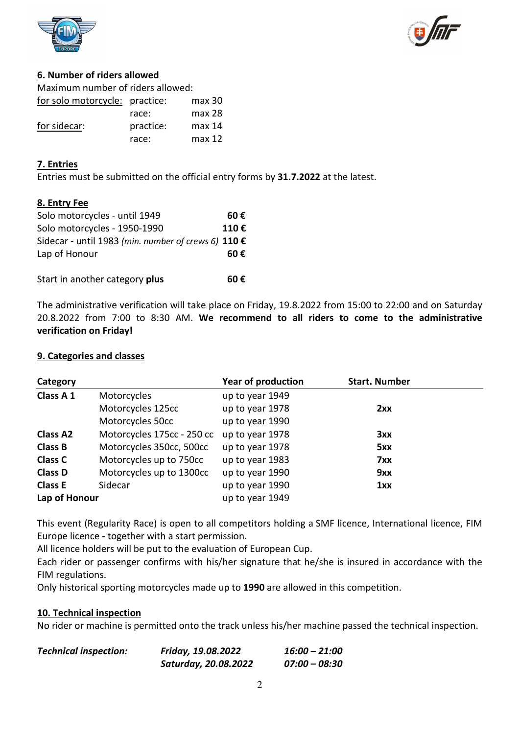



## **6. Number of riders allowed**

| Maximum number of riders allowed: |           |                   |  |
|-----------------------------------|-----------|-------------------|--|
| for solo motorcycle: practice:    |           | $max$ 30          |  |
|                                   | race:     | max <sub>28</sub> |  |
| for sidecar:                      | practice: | max 14            |  |
|                                   | race:     | max 12            |  |

## **7. Entries**

Entries must be submitted on the official entry forms by **31.7.2022** at the latest.

## **8. Entry Fee**

| Solo motorcycles - until 1949                       | 60€  |
|-----------------------------------------------------|------|
| Solo motorcycles - 1950-1990                        | 110€ |
| Sidecar - until 1983 (min. number of crews 6) 110 € |      |
| Lap of Honour                                       | 60€  |
|                                                     |      |
| Start in another category plus                      | 60€  |

The administrative verification will take place on Friday, 19.8.2022 from 15:00 to 22:00 and on Saturday 20.8.2022 from 7:00 to 8:30 AM. **We recommend to all riders to come to the administrative verification on Friday!**

## **9. Categories and classes**

| Category        |                            | <b>Year of production</b> | <b>Start. Number</b> |
|-----------------|----------------------------|---------------------------|----------------------|
| Class A 1       | Motorcycles                | up to year 1949           |                      |
|                 | Motorcycles 125cc          | up to year 1978           | 2xx                  |
|                 | Motorcycles 50cc           | up to year 1990           |                      |
| <b>Class A2</b> | Motorcycles 175cc - 250 cc | up to year 1978           | 3xx                  |
| <b>Class B</b>  | Motorcycles 350cc, 500cc   | up to year 1978           | 5xx                  |
| <b>Class C</b>  | Motorcycles up to 750cc    | up to year 1983           | 7xx                  |
| <b>Class D</b>  | Motorcycles up to 1300cc   | up to year 1990           | 9xx                  |
| <b>Class E</b>  | Sidecar                    | up to year 1990           | 1xx                  |
| Lap of Honour   |                            | up to year 1949           |                      |

This event (Regularity Race) is open to all competitors holding a SMF licence, International licence, FIM Europe licence - together with a start permission.

All licence holders will be put to the evaluation of European Cup.

Each rider or passenger confirms with his/her signature that he/she is insured in accordance with the FIM regulations.

Only historical sporting motorcycles made up to **1990** are allowed in this competition.

## **10. Technical inspection**

No rider or machine is permitted onto the track unless his/her machine passed the technical inspection.

| <b>Technical inspection:</b> | Friday, 19.08.2022   | 16:00 – 21:00 |
|------------------------------|----------------------|---------------|
|                              | Saturday, 20.08.2022 | 07:00 – 08:30 |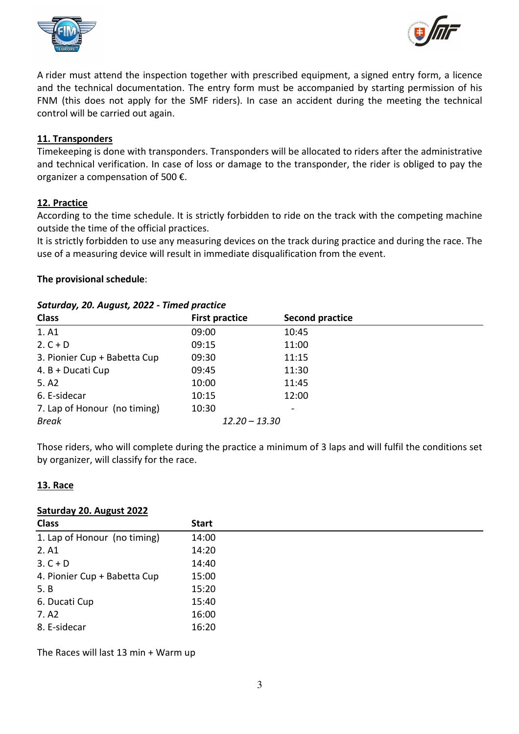



A rider must attend the inspection together with prescribed equipment, a signed entry form, a licence and the technical documentation. The entry form must be accompanied by starting permission of his FNM (this does not apply for the SMF riders). In case an accident during the meeting the technical control will be carried out again.

## **11. Transponders**

Timekeeping is done with transponders. Transponders will be allocated to riders after the administrative and technical verification. In case of loss or damage to the transponder, the rider is obliged to pay the organizer a compensation of 500 €.

## **12. Practice**

According to the time schedule. It is strictly forbidden to ride on the track with the competing machine outside the time of the official practices.

It is strictly forbidden to use any measuring devices on the track during practice and during the race. The use of a measuring device will result in immediate disqualification from the event.

## **The provisional schedule**:

| Suturaay, Zo. August, Zozz - Timed practice |                       |                        |  |
|---------------------------------------------|-----------------------|------------------------|--|
| <b>Class</b>                                | <b>First practice</b> | <b>Second practice</b> |  |
| 1. A1                                       | 09:00                 | 10:45                  |  |
| $2. C + D$                                  | 09:15                 | 11:00                  |  |
| 3. Pionier Cup + Babetta Cup                | 09:30                 | 11:15                  |  |
| 4. B + Ducati Cup                           | 09:45                 | 11:30                  |  |
| 5. A2                                       | 10:00                 | 11:45                  |  |
| 6. E-sidecar                                | 10:15                 | 12:00                  |  |
| 7. Lap of Honour (no timing)                | 10:30                 |                        |  |
| <b>Break</b>                                | $12.20 - 13.30$       |                        |  |
|                                             |                       |                        |  |

## *Saturday, 20. August, 2022 - Timed practice*

Those riders, who will complete during the practice a minimum of 3 laps and will fulfil the conditions set by organizer, will classify for the race.

## **13. Race**

#### **Saturday 20. August 2022**

| <b>Class</b>                 | <b>Start</b> |
|------------------------------|--------------|
| 1. Lap of Honour (no timing) | 14:00        |
| 2. A1                        | 14:20        |
| $3. C + D$                   | 14:40        |
| 4. Pionier Cup + Babetta Cup | 15:00        |
| 5. B                         | 15:20        |
| 6. Ducati Cup                | 15:40        |
| 7. A <sub>2</sub>            | 16:00        |
| 8. E-sidecar                 | 16:20        |

The Races will last 13 min + Warm up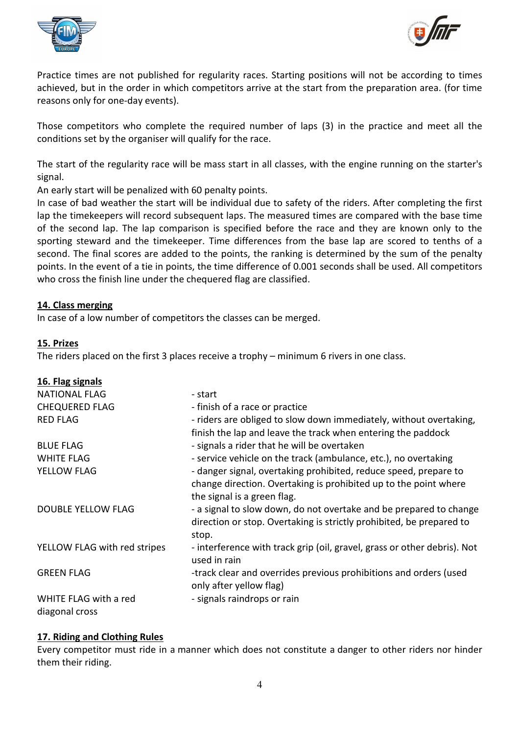



Practice times are not published for regularity races. Starting positions will not be according to times achieved, but in the order in which competitors arrive at the start from the preparation area. (for time reasons only for one-day events).

Those competitors who complete the required number of laps (3) in the practice and meet all the conditions set by the organiser will qualify for the race.

The start of the regularity race will be mass start in all classes, with the engine running on the starter's signal.

An early start will be penalized with 60 penalty points.

In case of bad weather the start will be individual due to safety of the riders. After completing the first lap the timekeepers will record subsequent laps. The measured times are compared with the base time of the second lap. The lap comparison is specified before the race and they are known only to the sporting steward and the timekeeper. Time differences from the base lap are scored to tenths of a second. The final scores are added to the points, the ranking is determined by the sum of the penalty points. In the event of a tie in points, the time difference of 0.001 seconds shall be used. All competitors who cross the finish line under the chequered flag are classified.

## **14. Class merging**

In case of a low number of competitors the classes can be merged.

## **15. Prizes**

**16. Flag signals**

The riders placed on the first 3 places receive a trophy – minimum 6 rivers in one class.

| 16. Flag signals                        |                                                                                                                                                                     |
|-----------------------------------------|---------------------------------------------------------------------------------------------------------------------------------------------------------------------|
| <b>NATIONAL FLAG</b>                    | - start                                                                                                                                                             |
| <b>CHEQUERED FLAG</b>                   | - finish of a race or practice                                                                                                                                      |
| <b>RED FLAG</b>                         | - riders are obliged to slow down immediately, without overtaking,<br>finish the lap and leave the track when entering the paddock                                  |
| <b>BLUE FLAG</b>                        | - signals a rider that he will be overtaken                                                                                                                         |
| <b>WHITE FLAG</b>                       | - service vehicle on the track (ambulance, etc.), no overtaking                                                                                                     |
| YELLOW FLAG                             | - danger signal, overtaking prohibited, reduce speed, prepare to<br>change direction. Overtaking is prohibited up to the point where<br>the signal is a green flag. |
| <b>DOUBLE YELLOW FLAG</b>               | - a signal to slow down, do not overtake and be prepared to change<br>direction or stop. Overtaking is strictly prohibited, be prepared to<br>stop.                 |
| YELLOW FLAG with red stripes            | - interference with track grip (oil, gravel, grass or other debris). Not<br>used in rain                                                                            |
| <b>GREEN FLAG</b>                       | -track clear and overrides previous prohibitions and orders (used<br>only after yellow flag)                                                                        |
| WHITE FLAG with a red<br>diagonal cross | - signals raindrops or rain                                                                                                                                         |

## **17. Riding and Clothing Rules**

Every competitor must ride in a manner which does not constitute a danger to other riders nor hinder them their riding.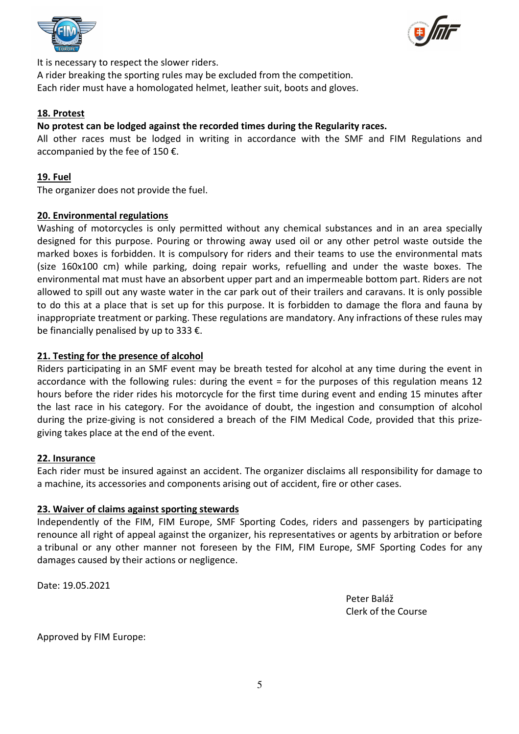



It is necessary to respect the slower riders.

A rider breaking the sporting rules may be excluded from the competition. Each rider must have a homologated helmet, leather suit, boots and gloves.

## **18. Protest**

## **No protest can be lodged against the recorded times during the Regularity races.**

All other races must be lodged in writing in accordance with the SMF and FIM Regulations and accompanied by the fee of 150  $\epsilon$ .

## **19. Fuel**

The organizer does not provide the fuel.

## **20. Environmental regulations**

Washing of motorcycles is only permitted without any chemical substances and in an area specially designed for this purpose. Pouring or throwing away used oil or any other petrol waste outside the marked boxes is forbidden. It is compulsory for riders and their teams to use the environmental mats (size 160x100 cm) while parking, doing repair works, refuelling and under the waste boxes. The environmental mat must have an absorbent upper part and an impermeable bottom part. Riders are not allowed to spill out any waste water in the car park out of their trailers and caravans. It is only possible to do this at a place that is set up for this purpose. It is forbidden to damage the flora and fauna by inappropriate treatment or parking. These regulations are mandatory. Any infractions of these rules may be financially penalised by up to 333 €.

## **21. Testing for the presence of alcohol**

Riders participating in an SMF event may be breath tested for alcohol at any time during the event in accordance with the following rules: during the event = for the purposes of this regulation means 12 hours before the rider rides his motorcycle for the first time during event and ending 15 minutes after the last race in his category. For the avoidance of doubt, the ingestion and consumption of alcohol during the prize-giving is not considered a breach of the FIM Medical Code, provided that this prizegiving takes place at the end of the event.

## **22. Insurance**

Each rider must be insured against an accident. The organizer disclaims all responsibility for damage to a machine, its accessories and components arising out of accident, fire or other cases.

## **23. Waiver of claims against sporting stewards**

Independently of the FIM, FIM Europe, SMF Sporting Codes, riders and passengers by participating renounce all right of appeal against the organizer, his representatives or agents by arbitration or before a tribunal or any other manner not foreseen by the FIM, FIM Europe, SMF Sporting Codes for any damages caused by their actions or negligence.

Date: 19.05.2021

 Peter Baláž Clerk of the Course

Approved by FIM Europe: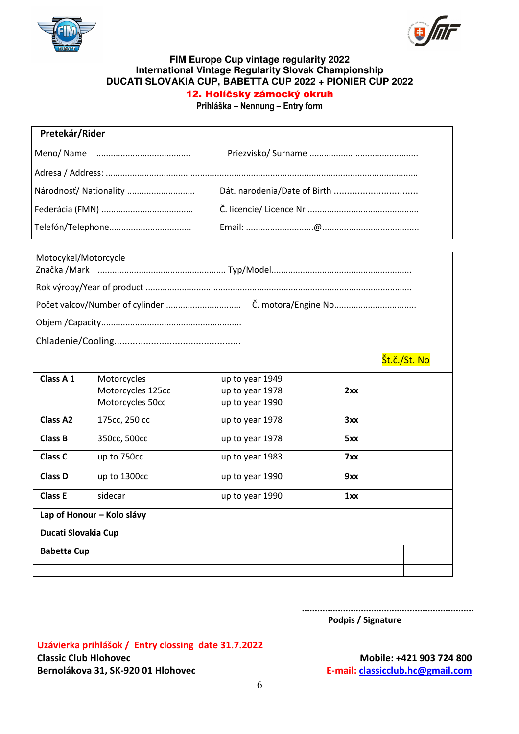



#### **FIM Europe Cup vintage regularity 2022 International Vintage Regularity Slovak Championship DUCATI SLOVAKIA CUP, BABETTA CUP 2022 + PIONIER CUP 2022**

## 12. Holíčsky zámocký okruh

**Prihláška – Nennung – Entry form** 

| Pretekár/Rider       |                            |                              |     |              |
|----------------------|----------------------------|------------------------------|-----|--------------|
| Meno/Name            |                            |                              |     |              |
|                      |                            |                              |     |              |
|                      |                            |                              |     |              |
|                      | Národnosť/ Nationality     | Dát. narodenia/Date of Birth |     |              |
|                      |                            |                              |     |              |
|                      | Telefón/Telephone          |                              |     |              |
|                      |                            |                              |     |              |
| Motocykel/Motorcycle |                            |                              |     |              |
|                      |                            |                              |     |              |
|                      |                            |                              |     |              |
|                      |                            |                              |     |              |
|                      |                            |                              |     |              |
|                      |                            |                              |     |              |
|                      |                            |                              |     |              |
|                      |                            |                              |     | Št.č./St. No |
| Class A 1            | Motorcycles                | up to year 1949              |     |              |
|                      | Motorcycles 125cc          | up to year 1978              | 2xx |              |
|                      | Motorcycles 50cc           | up to year 1990              |     |              |
| <b>Class A2</b>      | 175cc, 250 cc              | up to year 1978              | 3xx |              |
| <b>Class B</b>       | 350cc, 500cc               | up to year 1978              | 5xx |              |
| <b>Class C</b>       | up to 750cc                | up to year 1983              | 7xx |              |
| <b>Class D</b>       | up to 1300cc               | up to year 1990              | 9xx |              |
| <b>Class E</b>       | sidecar                    | up to year 1990              | 1xx |              |
|                      | Lap of Honour - Kolo slávy |                              |     |              |
| Ducati Slovakia Cup  |                            |                              |     |              |
| <b>Babetta Cup</b>   |                            |                              |     |              |
|                      |                            |                              |     |              |
|                      |                            |                              |     |              |

#### **................................................................... Podpis / Signature**

## **Uzávierka prihlášok / Entry clossing date 31.7.2022**

**Bernolákova 31, SK-920 01 Hlohovec <br>
<b>Bernolákova 31, SK-920 01 Hlohovec E-mail:** classicclub.hc@gmail.com

Classic Club Hlohovec **Mobile: +421 903 724 800**